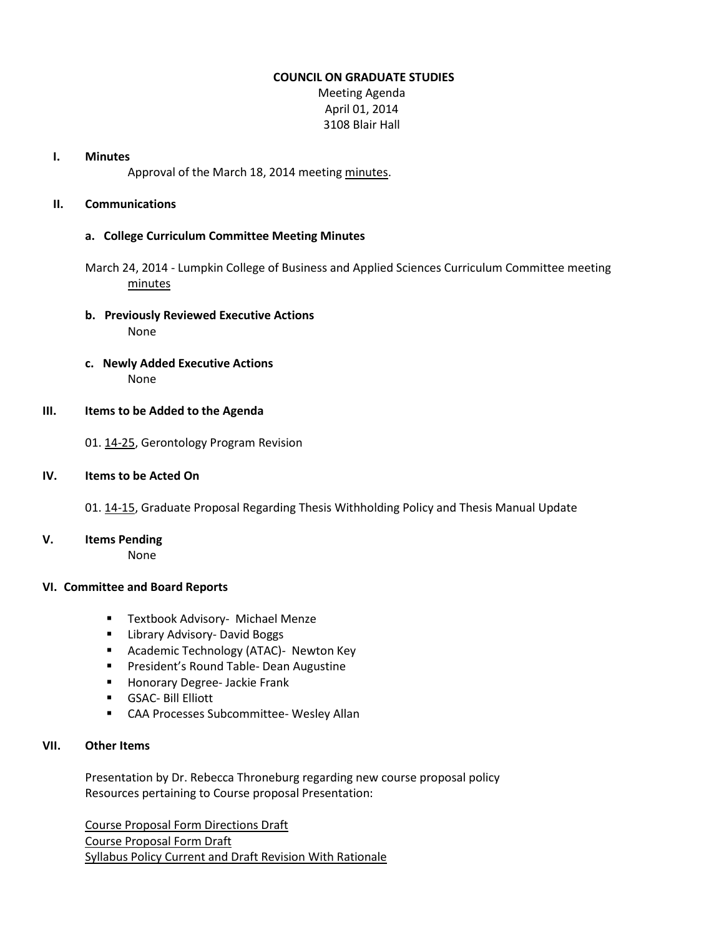### **COUNCIL ON GRADUATE STUDIES**

Meeting Agenda April 01, 2014 3108 Blair Hall

#### **I. Minutes**

Approval of the March 18, 2014 meeting [minutes.](http://castle.eiu.edu/eiucgs/currentminutes/Minutes03-18-14.pdf)

# **II. Communications**

# **a. College Curriculum Committee Meeting Minutes**

March 24, 2014 - Lumpkin College of Business and Applied Sciences Curriculum Committee meeting [minutes](http://castle.eiu.edu/~eiucgs/currentagendaitems/LCBASMin03-24-14.pdf)

- **b. Previously Reviewed Executive Actions** None
- **c. Newly Added Executive Actions** None

## **III. Items to be Added to the Agenda**

01[. 14-25,](http://castle.eiu.edu/~eiucgs/currentagendaitems/agenda14-25.pdf) Gerontology Program Revision

## **IV. Items to be Acted On**

01[. 14-15,](http://castle.eiu.edu/~eiucgs/currentagendaitems/agenda14-15.pdf) Graduate Proposal Regarding Thesis Withholding Policy and Thesis Manual Update

**V. Items Pending**

None

## **VI. Committee and Board Reports**

- **Textbook Advisory- Michael Menze**
- **E** Library Advisory- David Boggs
- **Academic Technology (ATAC)- Newton Key**
- **Paramer's Round Table- Dean Augustine**
- **Honorary Degree- Jackie Frank**
- GSAC- Bill Elliott
- CAA Processes Subcommittee- Wesley Allan

# **VII. Other Items**

Presentation by Dr. Rebecca Throneburg regarding new course proposal policy Resources pertaining to Course proposal Presentation:

[Course Proposal Form Directions Draft](http://castle.eiu.edu/~eiucgs/documents/CourseProposalFormDirectionsDraftMar28v2.pdf) [Course Proposal Form Draft](http://castle.eiu.edu/~eiucgs/documents/CourseProposalFormDraftMar28.pdf) [Syllabus Policy Current and Draft Revision With Rationale](http://castle.eiu.edu/~eiucgs/documents/SyllabusPolicyCurrentandDraftRevisionWithRationale4.pdf)